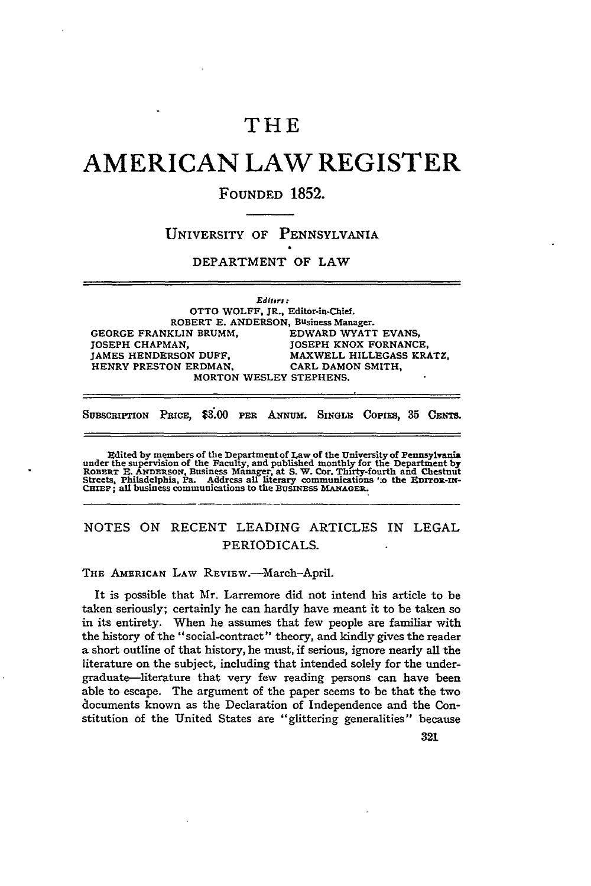# THE

# **AMERICAN LAW REGISTER**

# **FOUNDED 1852.**

### UNIVERSITY OF PENNSYLVANIA

#### DEPARTMENT OF LAW

*Editrs :* OTTO WOLFF, JR., Editor-in-Chief. ROBERT **E. ANDERSON,** Business Manager. **GEORGE** FRANKLIN BRUMM, EDWARD WYATT **EVANS, JOSEPH CHAPMAN, JOSEPH KNOX FORNANCE, JAMES HENDERSON DUFF.** MAXWELL **HILLEGASS** KRATZ, HENRY PRESTON ERDMAN. CARL **DAMON** SMITH, MORTON WESLEY **STEPHENS.**

SUBSCRIPTION PRICE, \$3.00 PER ANNUM. SINGLE COPIES, 35 CENTS.

Edited by members of the Department of Law of the University of Pennsylvania<br>under the supervision of the Faculty, and published monthly for the Department by<br>RoBERT E. ANDERSON, Business Manager, at S. W. Cor. Thirty-four

# **NOTES** ON RECENT LEADING ARTICLES IN LEGAL PERIODICALS.

THE AMERICAN LAW REVIEW.-March-April.

It is possible that Mr. Larremore did not intend his article to be taken seriously; certainly he can hardly have meant it to be taken so in its entirety. When he assumes that few people are familiar with the history of the "social-contract" theory, and kindly gives the reader a short outline of that history, he must, if serious, ignore nearly all the literature on the subject, including that intended solely for the undergraduate-literature that very few reading persons can have been able to escape. The argument of the paper seems to be that the two documents known as the Declaration of Independence and the Constitution of the United States are "glittering generalities" because

321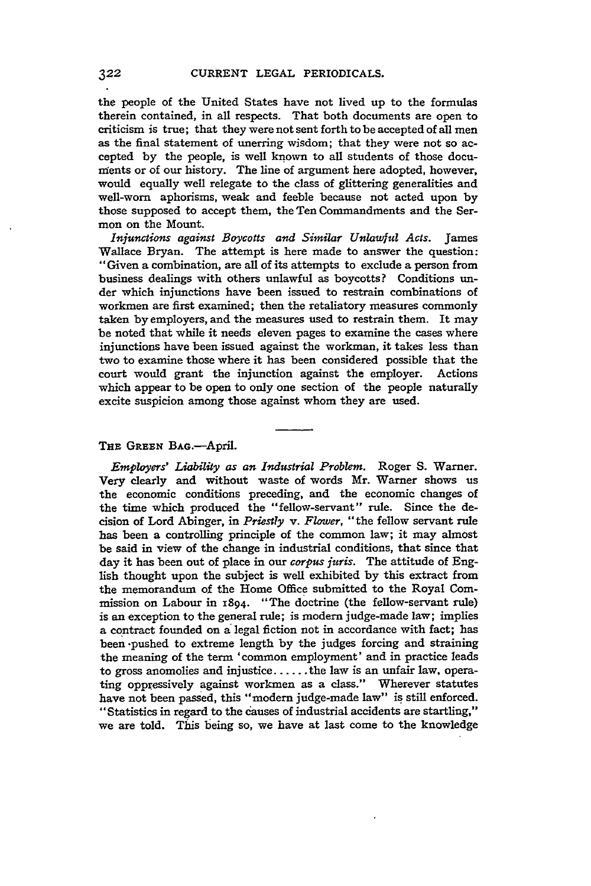the people of the United States have not lived up to the formulas therein contained, in all respects. That both documents are open to criticism is true; that they were not sent forth to be accepted of all men as the final statement of unerring wisdom; that they were not so accepted **by** the people, is well known to all students of those documents or of our history. The line of argument here adopted, however, would equally well relegate to the class of glittering generalities and well-worn aphorisms, weak and feeble because not acted upon **by** those supposed to accept them, the Ten Commandments and the Sermon on the Mount.

*Injunctions against Boycotts and Similar Unlawful Acts.* James Wallace Bryan. The attempt is here made to answer the question: "Given a combination, are all of its attempts to exclude a person from business dealings with others unlawful as boycotts? Conditions **un**der which injunctions have been issued to restrain combinations of workmen are first examined; then the retaliatory measures commonly taken **by** employers, and the measures used to restrain them. It may be noted that while it needs eleven pages to examine the cases where injunctions have been issued against the workman, it takes less than two to examine those where it has been considered possible that the court would grant the injunction against the employer. Actions which appear to be open to only one section of the people naturally excite suspicion among those against whom they are used.

#### **THE** GREEN BAG.-April.

*Employers' Liability as an Industrial Problem.* Roger **S.** Warner. Very clearly and without waste of words Mr. Warner shows us the economic conditions preceding, and the economic changes of the time which produced the "fellow-servant" rule. Since the decision of Lord Abinger, in *Priestly v. Flower,* "the fellow servant rule has been a controlling principle of the common law; it may almost be said in view of the change in industrial conditions, that since that day it has been out of place in our *corpus juris.* The attitude of English thought upon the subject is well exhibited **by** this extract from the memorandum of the Home Office submitted to the Royal Commission on Labour in 1894. "The doctrine (the fellow-servant rule) is an exception to the general rule; is modern judge-made law; implies a contract founded on a legal fiction not in accordance with fact; has been .pushed to extreme length **by** the judges forcing and straining the meaning of the term 'common employment' and in practice leads to gross anomolies and injustice **......** the law is an unfair law, operating oppressively against workmen as a class." Wherever statutes have not been passed, this "modem judge-made law" is still enforced. "Statistics in regard to the causes of industrial accidents are startling," we are told. This being so, we have at last come to the knowledge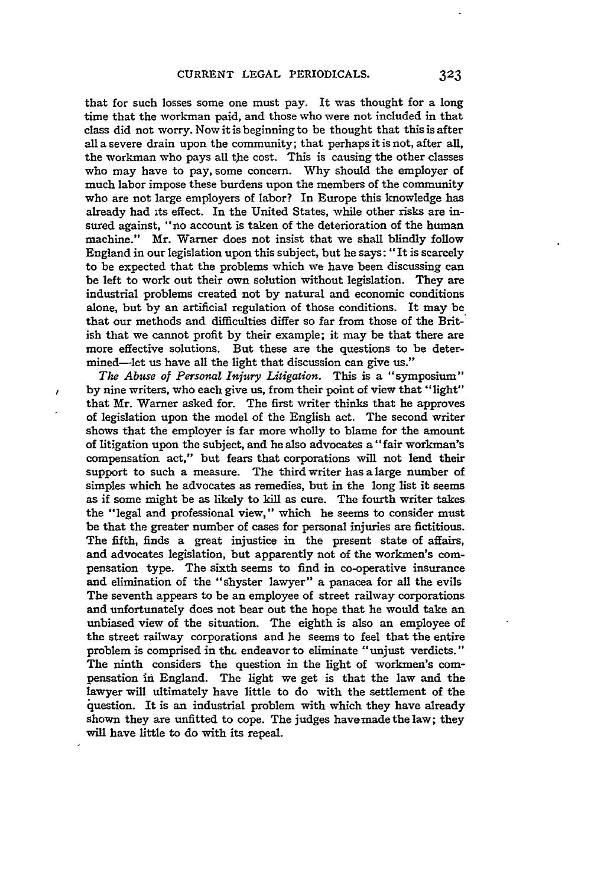that for such losses some one must pay. It was thought for a long time that the workman paid, and those who were not included in that class did not worry. Now it is beginning to be thought that this is after all a severe drain upon the community; that perhaps it is not, after all, the workman who pays all the cost. This is causing the other classes who may have to pay, some concern. **Why** should the employer of much labor impose these burdens upon the members of the community who are not large employers of labor? In Europe this knowledge has already had its effect. In the United States, while other risks are insured against, "no account is taken of the deterioration of the human machine." Mr. Warner does not insist that we shall blindly follow England in our legislation upon this subject, but he says: "It is scarcely to be expected that the problems which we have been discussing can be left to work out their own solution without legislation. They are industrial problems created not **by** natural and economic conditions alone, but **by** an artificial regulation of those conditions. It may be that our methods and difficulties differ so far from those of the British that we cannot profit **by** their example; it may be that there are more effective solutions. But these are the questions to be determined-let us have all the light that discussion can give us."

ł

*The Abuse of Personal Injury Litigation.* This is a "symposium" by nine writers, who each give us, from their point of view that "light" that Mr. Warner asked for. The first writer thinks that he approves of legislation upon the model of the English act. The second writer shows that the employer is far more wholly to blame for the amount of litigation upon the subject, and he also advocates a "fair workman's compensation act," but fears that corporations will not lend their support to such a measure. The third writer has a large number of simples which he advocates as remedies, but in the long list it seems as if some might be as likely to kill as cure. The fourth writer takes the "legal and professional view," which he seems to consider must be that the greater number of cases for personal injuries are fictitious. The fifth, finds a great injustice in the present state of affairs, and advocates legislation, but apparently not of the workmen's compensation type. The sixth seems to find in co-operative insurance and elimination of the "shyster lawyer" a panacea for all the evils The seventh appears to be an employee of street railway corporations and unfortunately does not bear out the hope that he would take an unbiased view of the situation. The eighth is also an employee of the street railway corporations and he seems to feel that the entire problem is comprised in the endeavor to eliminate "unjust verdicts." The ninth considers the question in the light of workmen's compensation in England. The light we get is that the law and the lawyer will ultimately have little to do with the settlement of the question. It is an industrial problem with which they have already shown they are unfitted to cope. The judges havemade the law; they will have little to do with its repeal.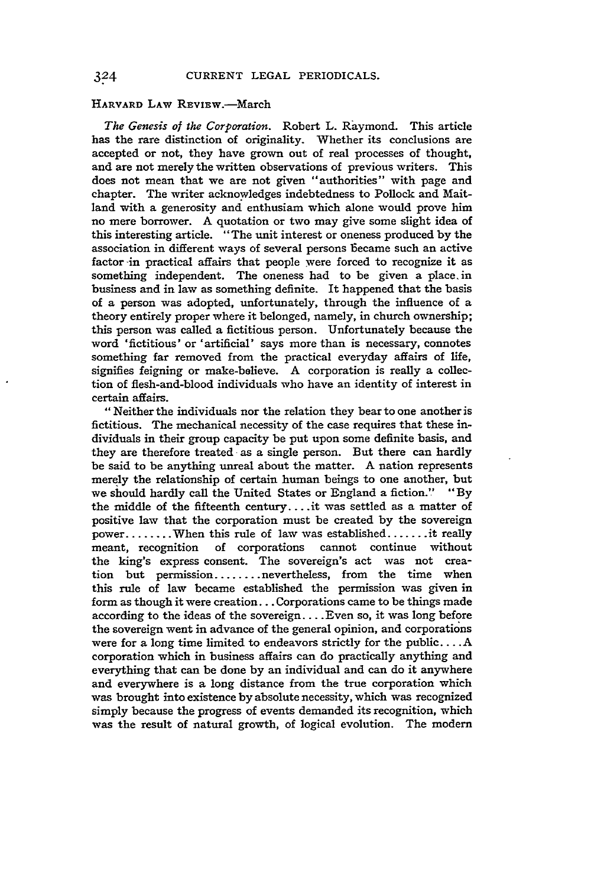#### HARVARD LAW REVIEW.-March

*The Genesis of the Corporation.* Robert L. Raymond. This article has the rare distinction of originality. Whether its conclusions are accepted or not, they have grown out of real processes of thought, and are not merely the written observations of previous writers. This does not mean that we are not given "authorities" with page and chapter. The writer acknowledges indebtedness to Pollock and Maitland with a generosity and enthusiam which alone would prove him no mere borrower. A quotation or two may give some slight idea of this interesting article. "The unit interest or oneness produced **by** the association in different ways of several persons became such an active factor -in practical affairs that people were forced to recognize it as something independent. The oneness had to be given a place. in business and in law as something definite. It happened that the basis of a person was adopted, unfortunately, through the influence of a theory entirely proper where it belonged, namely, in church ownership; this person was called a fictitious person. Unfortunately because the word 'fictitious' or 'artificial' says more than is necessary, connotes something far removed from the practical everyday affairs of life, signifies feigning or make-believe. A corporation is really a collection of flesh-and-blood individuals who have an identity of interest in certain affairs.

"Neither the individuals nor the relation they bear to one another is fictitious. The mechanical necessity of the case requires that these individuals in their group capacity be put upon some definite basis, and they are therefore treated as a single person. But there can hardly be said to be anything unreal about the matter. A nation represents merely the relationship of certain human beings to one another, but we should hardly call the United States or England a fiction." **"By** the middle of the fifteenth century .... it was settled as a matter of positive law that the corporation must be created **by** the sovereign power ........ When this rule of law was established **.......** it really meant, recognition of corporations cannot continue without the king's express consent. The sovereign's act was not creation but permission ........ nevertheless, from the time when this rule of law became established the permission was given in form as though it were creation... Corporations came to be things made according to the ideas of the sovereign .... Even so, it was long before the sovereign went in advance of the general opinion, and corporations were for a long time limited to endeavors strictly for the public **....** A corporation which in business affairs can do practically anything and everything that can be done **by** an individual **and** can do it anywhere and everywhere is a long distance from the true corporation which was brought into existence **by** absolute necessity, which was recognized simply because the progress of events demanded its recognition, which was the result of natural growth, of logical evolution. The modem

 $3^{24}$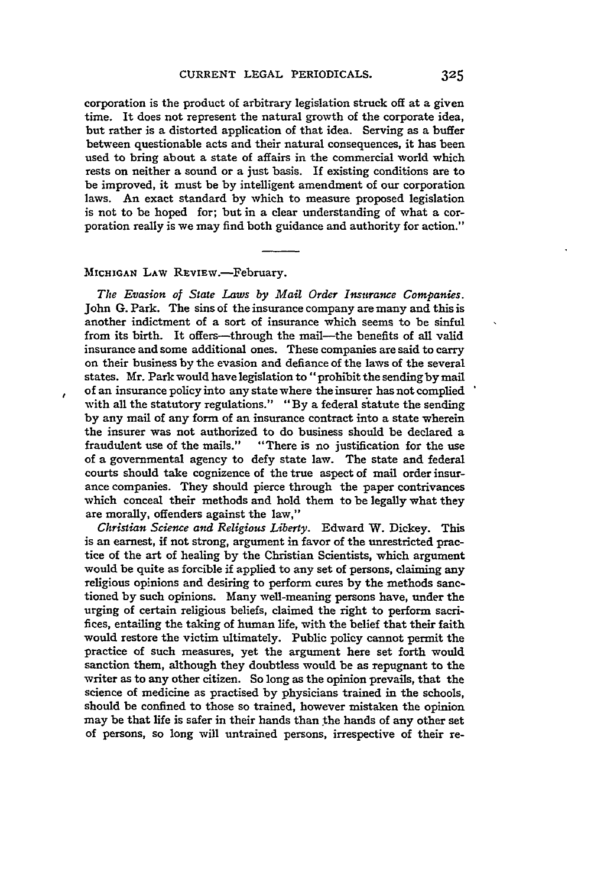corporation is the product of arbitrary legislation struck off at a given time. It does not represent the natural growth of the corporate idea, but rather is a distorted application of that idea. Serving as a buffer between questionable acts and their natural consequences, it has been used to bring about a state of affairs in the commercial world which rests on neither a sound or a just basis. If existing conditions are to be improved, it must be by intelligent amendment of our corporation laws. An exact standard by which to measure proposed legislation is not to be hoped for; but in a clear understanding of what a corporation really is we may find both guidance and authority for action."

### MICHIGAN LAW REVIEW.-February.

*The Evasion of State Laws by Mail Order Insurance Companies.* John G. Park. The sins of the insurance company are many and this is another indictment of a sort of insurance which seems to be sinful from its birth. It offers—through the mail—the benefits of all valid insurance and some additional ones. These companies are said to carry on their business by the evasion and defiance of the laws of the several states. Mr. Park would have legislation **to"** prohibit the sending by mail of an insurance policy into any state where the insurer has not complied with all the statutory regulations." "By a federal statute the sending by any mail of any form of an insurance contract into a state wherein the insurer was not authorized to do business should be declared a fraudulent use of the mails." "There is no justification for the use of a governmental agency to defy state law. The state and federal courts should take cognizence of the true aspect of mail order insurance companies. They should pierce through the paper contrivances which conceal their methods and hold them to be legally what they are morally, offenders against the law,"

*Christian Science and Religious Liberty.* Edward W. Dickey. This is an earnest, if not strong, argument in favor of the unrestricted practice of the art of healing **by** the Christian Scientists, which argument would be quite as forcible if applied to any set of persons, claiming any religious opinions and desiring to perform cures by the methods sanctioned **by** such opinions. Many well-meaning persons have, under the urging of certain religious beliefs, claimed the right to perform sacrifices, entailing the taking of human life, with the belief that their faith would restore the victim ultimately. Public policy cannot permit the practice of such measures, yet the argument here set forth would sanction them, although they doubtless would be as repugnant to the writer as to any other citizen. So long as the opinion prevails, that the science of medicine as practised by physicians trained in the schools, should be confined to those so trained, however mistaken the opinion may be that life is safer in their hands than the hands of any other set of persons, so long will untrained persons, irrespective of their re